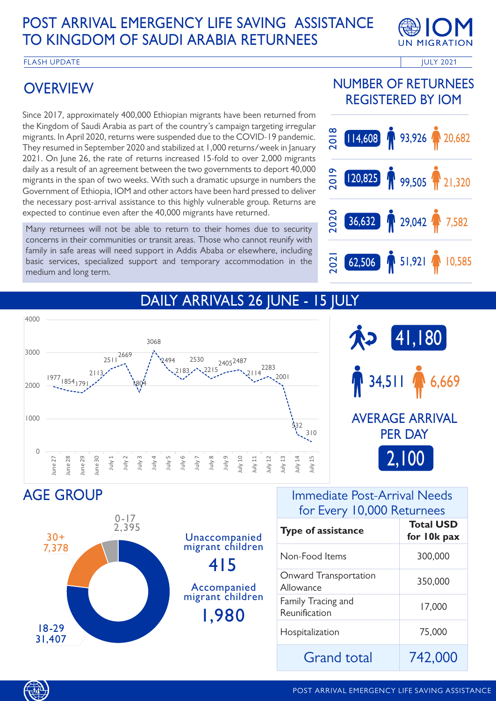# POST ARRIVAL EMERGENCY LIFE SAVING ASSISTANCE TO KINGDOM OF SAUDI ARABIA RETURNEES



FLASH UPDATE **Internal and the ULY 2021** The ULY 2021

# **OVERVIEW**

Since 2017, approximately 400,000 Ethiopian migrants have been returned from the Kingdom of Saudi Arabia as part of the country's campaign targeting irregular migrants. In April 2020, returns were suspended due to the COVID-19 pandemic. They resumed in September 2020 and stabilized at 1,000 returns/week in January 2021. On June 26, the rate of returns increased 15-fold to over 2,000 migrants daily as a result of an agreement between the two governments to deport 40,000 migrants in the span of two weeks. With such a dramatic upsurge in numbers the Government of Ethiopia, IOM and other actors have been hard pressed to deliver the necessary post-arrival assistance to this highly vulnerable group. Returns are expected to continue even after the 40,000 migrants have returned.

Many returnees will not be able to return to their homes due to security concerns in their communities or transit areas. Those who cannot reunify with family in safe areas will need support in Addis Ababa or elsewhere, including basic services, specialized support and temporary accommodation in the medium and long term.

### NUMBER OF RETURNEES REGISTERED BY IOM



## DAILY ARRIVALS 26 JUNE - 15 JULY



AGE GROUP



#### Immediate Post-Arrival Needs for Every 10,000 Returnees

| <b>Type of assistance</b>           | <b>Total USD</b><br>for 10k pax |
|-------------------------------------|---------------------------------|
| Non-Food Items                      | 300,000                         |
| Onward Transportation<br>Allowance  | 350,000                         |
| Family Tracing and<br>Reunification | 17,000                          |
| Hospitalization                     | 75,000                          |
| Grand total                         | 742,000                         |